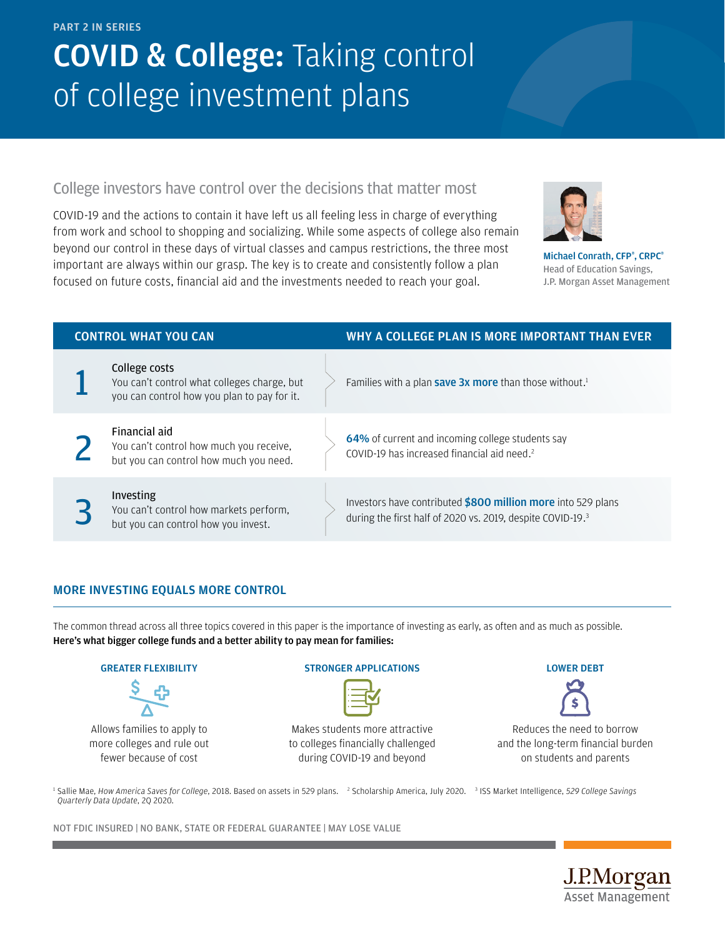#### PART 2 IN SERIES

# **COVID & College: Taking control** of college investment plans

### College investors have control over the decisions that matter most

COVID-19 and the actions to contain it have left us all feeling less in charge of everything from work and school to shopping and socializing. While some aspects of college also remain beyond our control in these days of virtual classes and campus restrictions, the three most important are always within our grasp. The key is to create and consistently follow a plan focused on future costs, financial aid and the investments needed to reach your goal.



Michael Conrath, CFP®, CRPC® Head of Education Savings, J.P. Morgan Asset Management

| <b>CONTROL WHAT YOU CAN</b> |                                                                                                             | WHY A COLLEGE PLAN IS MORE IMPORTANT THAN EVER                                                                             |
|-----------------------------|-------------------------------------------------------------------------------------------------------------|----------------------------------------------------------------------------------------------------------------------------|
|                             | College costs<br>You can't control what colleges charge, but<br>you can control how you plan to pay for it. | Families with a plan <b>save 3x more</b> than those without. <sup>1</sup>                                                  |
|                             | Financial aid<br>You can't control how much you receive,<br>but you can control how much you need.          | 64% of current and incoming college students say<br>COVID-19 has increased financial aid need. <sup>2</sup>                |
|                             | Investing<br>You can't control how markets perform,<br>but you can control how you invest.                  | Investors have contributed \$800 million more into 529 plans<br>during the first half of 2020 vs. 2019, despite COVID-19.3 |

### MORE INVESTING EQUALS MORE CONTROL

The common thread across all three topics covered in this paper is the importance of investing as early, as often and as much as possible. Here's what bigger college funds and a better ability to pay mean for families:

### GREATER FLEXIBILITY

Allows families to apply to more colleges and rule out fewer because of cost

### STRONGER APPLICATIONS

Makes students more attractive to colleges financially challenged during COVID-19 and beyond

### LOWER DEBT



Reduces the need to borrow and the long-term financial burden on students and parents

<sup>1</sup> Sallie Mae, *How America Saves for College*, 2018. Based on assets in 529 plans. <sup>2</sup> Scholarship America, July 2020. <sup>3</sup> ISS Market Intelligence, 529 *College Savings Quarterly Data Update*, 2Q 2020.

NOT FDIC INSURED | NO BANK, STATE OR FEDERAL GUARANTEE | MAY LOSE VALUE

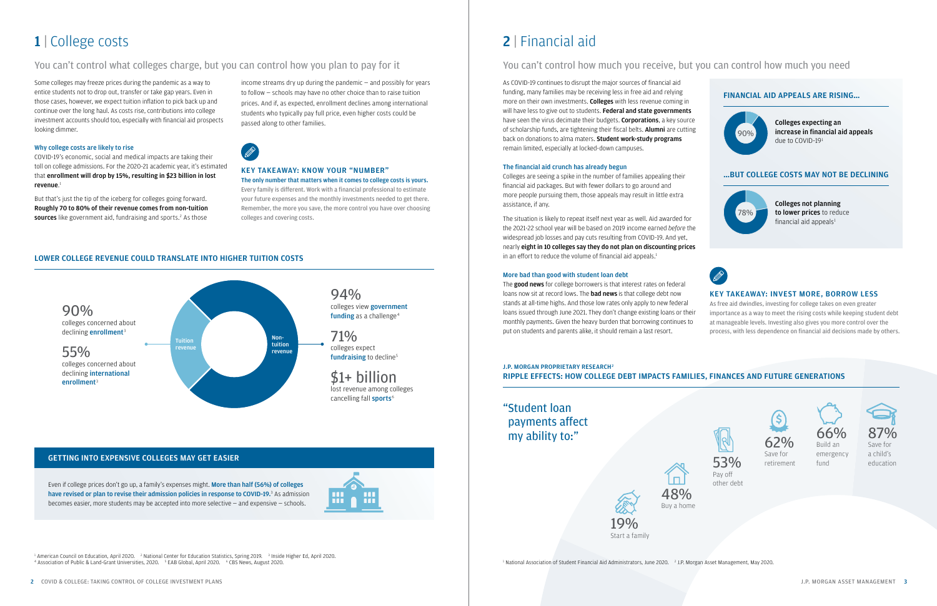### **J.P. MORGAN PROPRIETARY RESEARCH<sup>2</sup>** RIPPLE EFFECTS: HOW COLLEGE DEBT IMPACTS FAMILIES, FINANCES AND FUTURE GENERATIONS

## "Student loan payments affect my ability to:"

## 2 | Financial aid

### You can't control how much you receive, but you can control how much you need

As COVID-19 continues to disrupt the major sources of financial aid funding, many families may be receiving less in free aid and relying more on their own investments. Colleges with less revenue coming in will have less to give out to students. Federal and state governments have seen the virus decimate their budgets. **Corporations**, a key source of scholarship funds, are tightening their fiscal belts. Alumni are cutting back on donations to alma maters. Student work-study programs remain limited, especially at locked-down campuses.

The situation is likely to repeat itself next year as well. Aid awarded for the 2021-22 school year will be based on 2019 income earned *before* the widespread job losses and pay cuts resulting from COVID-19. And yet, nearly eight in 10 colleges say they do not plan on discounting prices in an effort to reduce the volume of financial aid appeals.<sup>1</sup>

### The financial aid crunch has already begun

The good news for college borrowers is that interest rates on federal loans now sit at record lows. The **bad news** is that college debt now stands at all-time highs. And those low rates only apply to new federal loans issued through June 2021. They don't change existing loans or their monthly payments. Given the heavy burden that borrowing continues to put on students and parents alike, it should remain a last resort.

Colleges are seeing a spike in the number of families appealing their financial aid packages. But with fewer dollars to go around and more people pursuing them, those appeals may result in little extra assistance, if any.

### More bad than good with student loan debt

But that's just the tip of the iceberg for colleges going forward. Roughly 70 to 80% of their revenue comes from non-tuition sources like government aid, fundraising and sports.<sup>2</sup> As those

### KEY TAKEAWAY: INVEST MORE, BORROW LESS

As free aid dwindles, investing for college takes on even greater importance as a way to meet the rising costs while keeping student debt at manageable levels. Investing also gives you more control over the process, with less dependence on financial aid decisions made by others.





19% Start a family

 $^{\rm 1}$  National Association of Student Financial Aid Administrators, June 2020.  $^{-2}$  J.P. Morgan Asset Management, May 2020.



emergency fund



## 1 | College costs

### You can't control what colleges charge, but you can control how you plan to pay for it

Some colleges may freeze prices during the pandemic as a way to entice students not to drop out, transfer or take gap years. Even in those cases, however, we expect tuition inflation to pick back up and continue over the long haul. As costs rise, contributions into college investment accounts should too, especially with financial aid prospects looking dimmer.

### Why college costs are likely to rise

COVID-19's economic, social and medical impacts are taking their toll on college admissions. For the 2020-21 academic year, it's estimated that enrollment will drop by 15%, resulting in \$23 billion in lost revenue. 1

income streams dry up during the pandemic — and possibly for years to follow — schools may have no other choice than to raise tuition prices. And if, as expected, enrollment declines among international students who typically pay full price, even higher costs could be passed along to other families.

### KEY TAKEAWAY: KNOW YOUR "NUMBER" The only number that matters when it comes to college costs is yours.

Every family is different. Work with a financial professional to estimate your future expenses and the monthly investments needed to get there. Remember, the more you save, the more control you have over choosing colleges and covering costs.

### LOWER COLLEGE REVENUE COULD TRANSLATE INTO HIGHER TUITION COSTS







Even if college prices don't go up, a family's expenses might. More than half (56%) of colleges have revised or plan to revise their admission policies in response to COVID-19.<sup>3</sup> As admission becomes easier, more students may be accepted into more selective — and expensive — schools.



<sup>1</sup> American Council on Education, April 2020. <sup>2</sup> National Center for Education Statistics, Spring 2019. <sup>3</sup> Inside Higher Ed, April 2020. <sup>4</sup> Association of Public & Land-Grant Universities, 2020. <sup>5</sup> EAB Global, April 2020. <sup>6</sup> CBS News, August 2020.

### GETTING INTO EXPENSIVE COLLEGES MAY GET EASIER

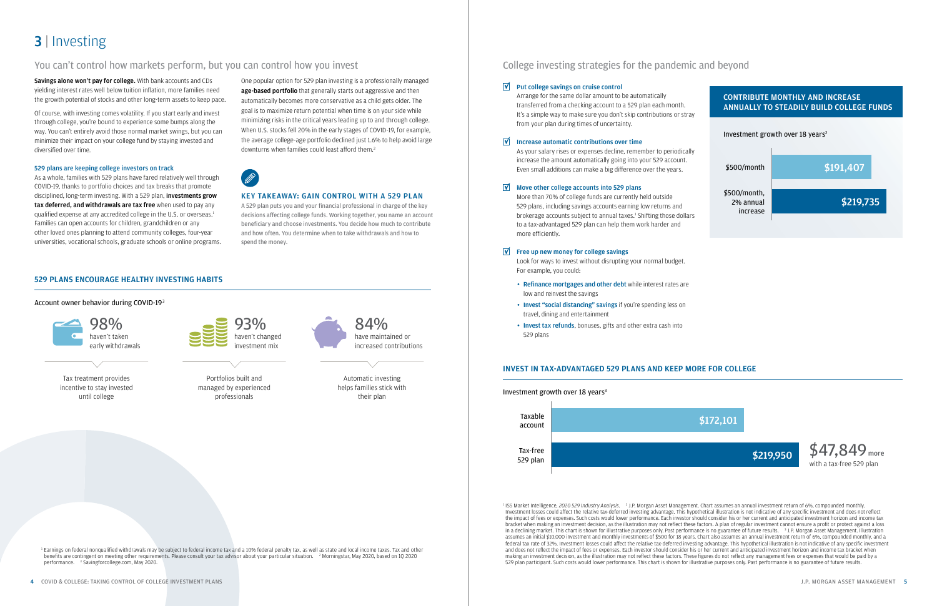<sup>1</sup> ISS Market Intelligence, 2020 529 Industry Analysis. <sup>2</sup> J.P. Morgan Asset Management. Chart assumes an annual investment return of 6%, compounded monthly. Investment losses could affect the relative tax-deferred investing advantage. This hypothetical illustration is not indicative of any specific investment and does not reflect the impact of fees or expenses. Such costs would lower performance. Each investor should consider his or her current and anticipated investment horizon and income tax bracket when making an investment decision, as the illustration may not reflect these factors. A plan of regular investment cannot ensure a profit or protect against a loss in a declining market. This chart is shown for illustrative purposes only. Past performance is no guarantee of future results. <sup>3</sup> J.P. Morgan Asset Management. Illustration assumes an initial \$10,000 investment and monthly investments of \$500 for 18 years. Chart also assumes an annual investment return of 6%, compounded monthly, and a federal tax rate of 32%. Investment losses could affect the relative tax-deferred investing advantage. This hypothetical illustration is not indicative of any specific investment and does not reflect the impact of fees or expenses. Each investor should consider his or her current and anticipated investment horizon and income tax bracket when making an investment decision, as the illustration may not reflect these factors. These figures do not reflect any management fees or expenses that would be paid by a 529 plan participant. Such costs would lower performance. This chart is shown for illustrative purposes only. Past performance is no guarantee of future results.

<sup>1</sup> Earnings on federal nongualified withdrawals may be subject to federal income tax and a 10% federal penalty tax, as well as state and local income taxes. Tax and other benefits are contingent on meeting other requirements. Please consult your tax advisor about your particular situation. <sup>2</sup> Morningstar, May 2020, based on 1Q 2020 performance. <sup>3</sup> Savingforcollege.com, May 2020.

- Refinance mortgages and other debt while interest rates are low and reinvest the savings
- Invest "social distancing" savings if you're spending less on travel, dining and entertainment
- Invest tax refunds, bonuses, gifts and other extra cash into 529 plans

Savings alone won't pay for college. With bank accounts and CDs yielding interest rates well below tuition inflation, more families need the growth potential of stocks and other long-term assets to keep pace. College investing strategies for the pandemic and beyond

### $\triangledown$  Put college savings on cruise control

Arrange for the same dollar amount to be automatically transferred from a checking account to a 529 plan each month. It's a simple way to make sure you don't skip contributions or stray from your plan during times of uncertainty.

#### $\triangledown$  Increase automatic contributions over time

As your salary rises or expenses decline, remember to periodically increase the amount automatically going into your 529 account. Even small additions can make a big difference over the years.

### $\triangledown$  Move other college accounts into 529 plans

More than 70% of college funds are currently held outside 529 plans, including savings accounts earning low returns and brokerage accounts subject to annual taxes.<sup>1</sup> Shifting those dollars to a tax-advantaged 529 plan can help them work harder and more efficiently.

### $\triangledown$  Free up new money for college savings

Look for ways to invest without disrupting your normal budget. For example, you could:

## **3** | Investing

### You can't control how markets perform, but you can control how you invest

Of course, with investing comes volatility. If you start early and invest through college, you're bound to experience some bumps along the way. You can't entirely avoid those normal market swings, but you can minimize their impact on your college fund by staying invested and diversified over time.

### 529 plans are keeping college investors on track

As a whole, families with 529 plans have fared relatively well through COVID-19, thanks to portfolio choices and tax breaks that promote disciplined, long-term investing. With a 529 plan, **investments grow** tax deferred, and withdrawals are tax free when used to pay any qualified expense at any accredited college in the U.S. or overseas.<sup>1</sup> Families can open accounts for children, grandchildren or any other loved ones planning to attend community colleges, four-year universities, vocational schools, graduate schools or online programs. One popular option for 529 plan investing is a professionally managed age-based portfolio that generally starts out aggressive and then automatically becomes more conservative as a child gets older. The goal is to maximize return potential when time is on your side while minimizing risks in the critical years leading up to and through college. When U.S. stocks fell 20% in the early stages of COVID-19, for example, the average college-age portfolio declined just 1.6% to help avoid large downturns when families could least afford them.2



### KEY TAKEAWAY: GAIN CONTROL WITH A 529 PLAN

A 529 plan puts you and your financial professional in charge of the key decisions affecting college funds. Working together, you name an account beneficiary and choose investments. You decide how much to contribute and how often. You determine when to take withdrawals and how to spend the money.

### 529 PLANS ENCOURAGE HEALTHY INVESTING HABITS

Account owner behavior during COVID-193







Automatic investing helps families stick with their plan



Portfolios built and managed by experienced professionals

Tax treatment provides incentive to stay invested until college

### INVEST IN TAX-ADVANTAGED 529 PLANS AND KEEP MORE FOR COLLEGE

Investment growth over 18 years<sup>3</sup>